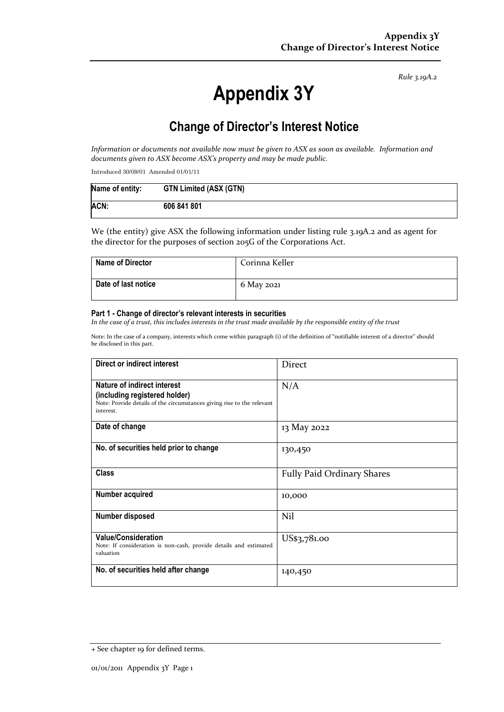*Rule 3.19A.2*

# **Appendix 3Y**

# **Change of Director's Interest Notice**

*Information or documents not available now must be given to ASX as soon as available. Information and documents given to ASX become ASX's property and may be made public.*

Introduced 30/09/01 Amended 01/01/11

| Name of entity: | <b>GTN Limited (ASX (GTN)</b> |
|-----------------|-------------------------------|
| ACN:            | 606 841 801                   |

We (the entity) give ASX the following information under listing rule 3.19A.2 and as agent for the director for the purposes of section 205G of the Corporations Act.

| <b>Name of Director</b> | Corinna Keller |
|-------------------------|----------------|
| Date of last notice     | 6 May 2021     |

#### **Part 1 - Change of director's relevant interests in securities**

*In the case of a trust, this includes interests in the trust made available by the responsible entity of the trust*

Note: In the case of a company, interests which come within paragraph (i) of the definition of "notifiable interest of a director" should be disclosed in this part.

| Direct or indirect interest                                                                                                                         | Direct                            |
|-----------------------------------------------------------------------------------------------------------------------------------------------------|-----------------------------------|
| Nature of indirect interest<br>(including registered holder)<br>Note: Provide details of the circumstances giving rise to the relevant<br>interest. | N/A                               |
| Date of change                                                                                                                                      | 13 May 2022                       |
| No. of securities held prior to change                                                                                                              | 130,450                           |
| <b>Class</b>                                                                                                                                        | <b>Fully Paid Ordinary Shares</b> |
| Number acquired                                                                                                                                     | 10,000                            |
| Number disposed                                                                                                                                     | Nil                               |
| <b>Value/Consideration</b><br>Note: If consideration is non-cash, provide details and estimated<br>valuation                                        | US\$3,781.00                      |
| No. of securities held after change                                                                                                                 | 140,450                           |

<sup>+</sup> See chapter 19 for defined terms.